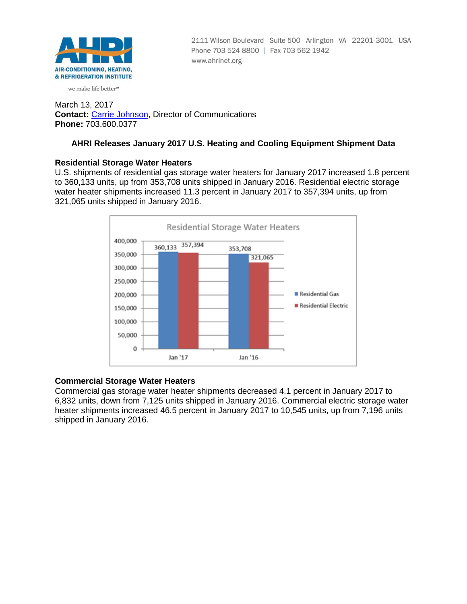

2111 Wilson Boulevard Suite 500 Arlington VA 22201-3001 USA Phone 703 524 8800 | Fax 703 562 1942 www.ahrinet.org

#### we make life better<sup>™</sup>

March 13, 2017 **Contact:** [Carrie Johnson,](mailto:cjohnson@ahrinet.org) Director of Communications **Phone:** 703.600.0377

## **AHRI Releases January 2017 U.S. Heating and Cooling Equipment Shipment Data**

## **Residential Storage Water Heaters**

U.S. shipments of residential gas storage water heaters for January 2017 increased 1.8 percent to 360,133 units, up from 353,708 units shipped in January 2016. Residential electric storage water heater shipments increased 11.3 percent in January 2017 to 357,394 units, up from 321,065 units shipped in January 2016.



## **Commercial Storage Water Heaters**

Commercial gas storage water heater shipments decreased 4.1 percent in January 2017 to 6,832 units, down from 7,125 units shipped in January 2016. Commercial electric storage water heater shipments increased 46.5 percent in January 2017 to 10,545 units, up from 7,196 units shipped in January 2016.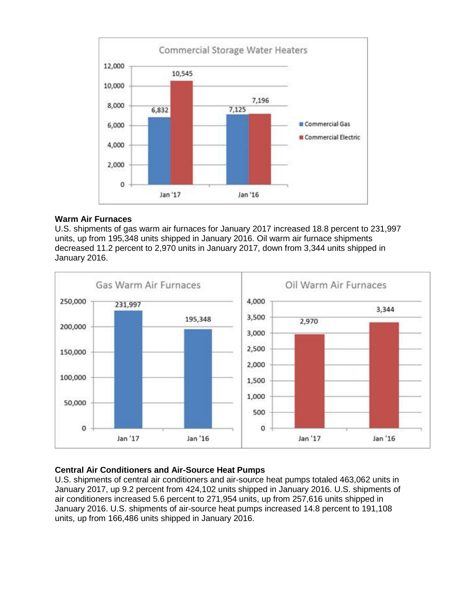

## **Warm Air Furnaces**

U.S. shipments of gas warm air furnaces for January 2017 increased 18.8 percent to 231,997 units, up from 195,348 units shipped in January 2016. Oil warm air furnace shipments decreased 11.2 percent to 2,970 units in January 2017, down from 3,344 units shipped in January 2016.



# **Central Air Conditioners and Air-Source Heat Pumps**

U.S. shipments of central air conditioners and air-source heat pumps totaled 463,062 units in January 2017, up 9.2 percent from 424,102 units shipped in January 2016. U.S. shipments of air conditioners increased 5.6 percent to 271,954 units, up from 257,616 units shipped in January 2016. U.S. shipments of air-source heat pumps increased 14.8 percent to 191,108 units, up from 166,486 units shipped in January 2016.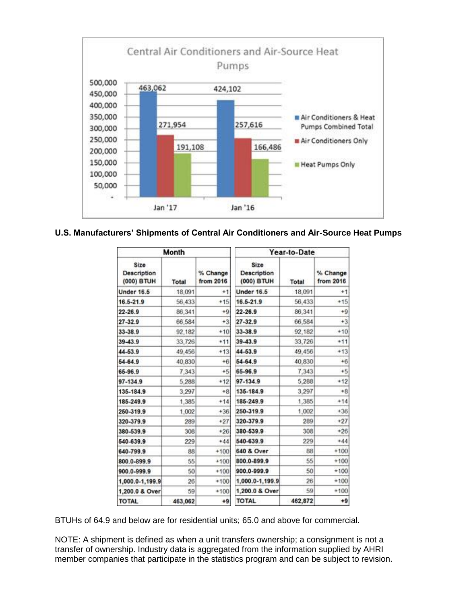

## **U.S. Manufacturers' Shipments of Central Air Conditioners and Air-Source Heat Pumps**

| Month                                    |         |                       | Year-to-Date                             |         |                       |
|------------------------------------------|---------|-----------------------|------------------------------------------|---------|-----------------------|
| Size<br><b>Description</b><br>(000) BTUH | Total   | % Change<br>from 2016 | Size<br><b>Description</b><br>(000) BTUH | Total   | % Change<br>from 2016 |
| <b>Under 16.5</b>                        | 18,091  | $+1$                  | <b>Under 16.5</b>                        | 18,091  | $^{+1}$               |
| 16.5-21.9                                | 56,433  | $+15$                 | 16.5-21.9                                | 56,433  | $+15$                 |
| $22 - 26.9$                              | 86,341  | $+9$                  | $22 - 26.9$                              | 86,341  | $+9$                  |
| 27-32.9                                  | 66,584  | $+3$                  | 27-32.9                                  | 66,584  | $+3$                  |
| 33-38.9                                  | 92,182  | $+10$                 | 33-38.9                                  | 92,182  | $+10$                 |
| 39-43.9                                  | 33.726  | $*11$                 | 39-43.9                                  | 33.726  | $+11$                 |
| 44-53.9                                  | 49.456  | $+13$                 | 44-53.9                                  | 49.456  | $+13$                 |
| 54-64.9                                  | 40,830  | $+6$                  | 54-64.9                                  | 40,830  | $+6$                  |
| 65-96.9                                  | 7.343   | $+5$                  | 65-96.9                                  | 7,343   | $+5$                  |
| 97-134.9                                 | 5,288   | $+12$                 | 97-134.9                                 | 5,288   | $+12$                 |
| 135-184.9                                | 3.297   | $+8$                  | 135-184.9                                | 3.297   | $+8$                  |
| 185-249.9                                | 1.385   | $+14$                 | 185-249.9                                | 1,385   | $+14$                 |
| 250-319.9                                | 1,002   | $+36$                 | 250-319.9                                | 1,002   | $+36$                 |
| 320-379.9                                | 289     | $+27$                 | 320-379.9                                | 289     | $+27$                 |
| 380-539.9                                | 308     | $+26$                 | 380-539.9                                | 308     | $+26$                 |
| 540-639.9                                | 229     | $*44$                 | 540-639.9                                | 229     | $*44$                 |
| 640-799.9                                | 88      | $+100$                | 640 & Over                               | 88      | $+100$                |
| 800.0-899.9                              | 55      | $+100$                | 800.0-899.9                              | 55      | $+100$                |
| 900.0-999.9                              | 50      | $+100$                | 900.0-999.9                              | 50      | $+100$                |
| 1,000.0-1,199.9                          | 26      | $+100$                | 1,000.0-1,199.9                          | 26      | $+100$                |
| 1,200.0 & Over                           | 59      | $+100$                | 1,200.0 & Over                           | 59      | $+100$                |
| <b>TOTAL</b>                             | 463,062 | $+9$                  | <b>TOTAL</b>                             | 462,872 | $+9$                  |

BTUHs of 64.9 and below are for residential units; 65.0 and above for commercial.

NOTE: A shipment is defined as when a unit transfers ownership; a consignment is not a transfer of ownership. Industry data is aggregated from the information supplied by AHRI member companies that participate in the statistics program and can be subject to revision.